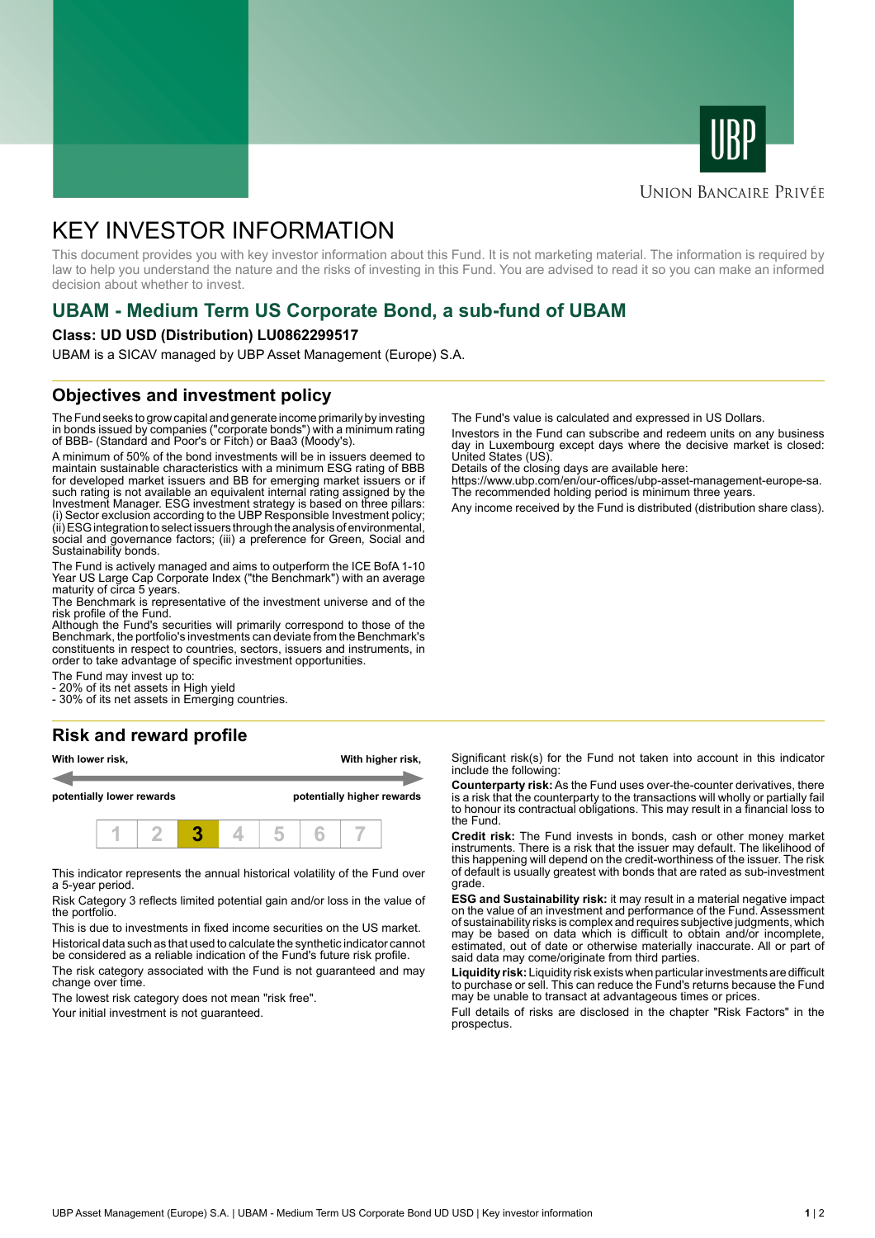



### **UNION BANCAIRE PRIVÉE**

# KEY INVESTOR INFORMATION

This document provides you with key investor information about this Fund. It is not marketing material. The information is required by law to help you understand the nature and the risks of investing in this Fund. You are advised to read it so you can make an informed decision about whether to invest.

# **UBAM - Medium Term US Corporate Bond, a sub-fund of UBAM**

#### **Class: UD USD (Distribution) LU0862299517**

UBAM is a SICAV managed by UBP Asset Management (Europe) S.A.

### **Objectives and investment policy**

The Fund seeks to grow capital and generate income primarily by investing in bonds issued by companies ("corporate bonds") with a minimum rating of BBB- (Standard and Poor's or Fitch) or Baa3 (Moody's).

A minimum of 50% of the bond investments will be in issuers deemed to maintain sustainable characteristics with a minimum ESG rating of BBB for developed market issuers and BB for emerging market issuers or if such rating is not available an equivalent internal rating assigned by the Investment Manager. ESG investment strategy is based on three pillars: (i) Sector exclusion according to the UBP Responsible Investment policy; (ii) ESG integration to select issuers through the analysis of environmental, social and governance factors; (iii) a preference for Green, Social and Sustainability bonds.

The Fund is actively managed and aims to outperform the ICE BofA 1-10 Year US Large Cap Corporate Index ("the Benchmark") with an average maturity of circa 5 years.

The Benchmark is representative of the investment universe and of the risk profile of the Fund.

Although the Fund's securities will primarily correspond to those of the Benchmark, the portfolio's investments can deviate from the Benchmark's constituents in respect to countries, sectors, issuers and instruments, in order to take advantage of specific investment opportunities.

The Fund may invest up to:

20% of its net assets in High yield

- 30% of its net assets in Emerging countries.

# **Risk and reward profile**

| With lower risk,          |  |  |  |                            | With higher risk, |  |  |  |
|---------------------------|--|--|--|----------------------------|-------------------|--|--|--|
| potentially lower rewards |  |  |  | potentially higher rewards |                   |  |  |  |
|                           |  |  |  |                            |                   |  |  |  |

This indicator represents the annual historical volatility of the Fund over a 5-year period.

Risk Category 3 reflects limited potential gain and/or loss in the value of the portfolio.

This is due to investments in fixed income securities on the US market. Historical data such as that used to calculate the synthetic indicator cannot

be considered as a reliable indication of the Fund's future risk profile. The risk category associated with the Fund is not guaranteed and may change over time.

The lowest risk category does not mean "risk free".

Your initial investment is not guaranteed.

The Fund's value is calculated and expressed in US Dollars.

Investors in the Fund can subscribe and redeem units on any business day in Luxembourg except days where the decisive market is closed: United States (US).

Details of the closing days are available here:

https://www.ubp.com/en/our-offices/ubp-asset-management-europe-sa. The recommended holding period is minimum three years.

Any income received by the Fund is distributed (distribution share class).

Significant risk(s) for the Fund not taken into account in this indicator include the following:

**Counterparty risk:** As the Fund uses over-the-counter derivatives, there is a risk that the counterparty to the transactions will wholly or partially fail to honour its contractual obligations. This may result in a financial loss to the Fund.

**Credit risk:** The Fund invests in bonds, cash or other money market instruments. There is a risk that the issuer may default. The likelihood of this happening will depend on the credit-worthiness of the issuer. The risk of default is usually greatest with bonds that are rated as sub-investment grade.

**ESG and Sustainability risk:** it may result in a material negative impact on the value of an investment and performance of the Fund. Assessment of sustainability risks is complex and requires subjective judgments, which may be based on data which is difficult to obtain and/or incomplete, estimated, out of date or otherwise materially inaccurate. All or part of said data may come/originate from third parties.

**Liquidity risk:** Liquidity risk exists when particular investments are difficult to purchase or sell. This can reduce the Fund's returns because the Fund may be unable to transact at advantageous times or prices.

Full details of risks are disclosed in the chapter "Risk Factors" in the prospectus.